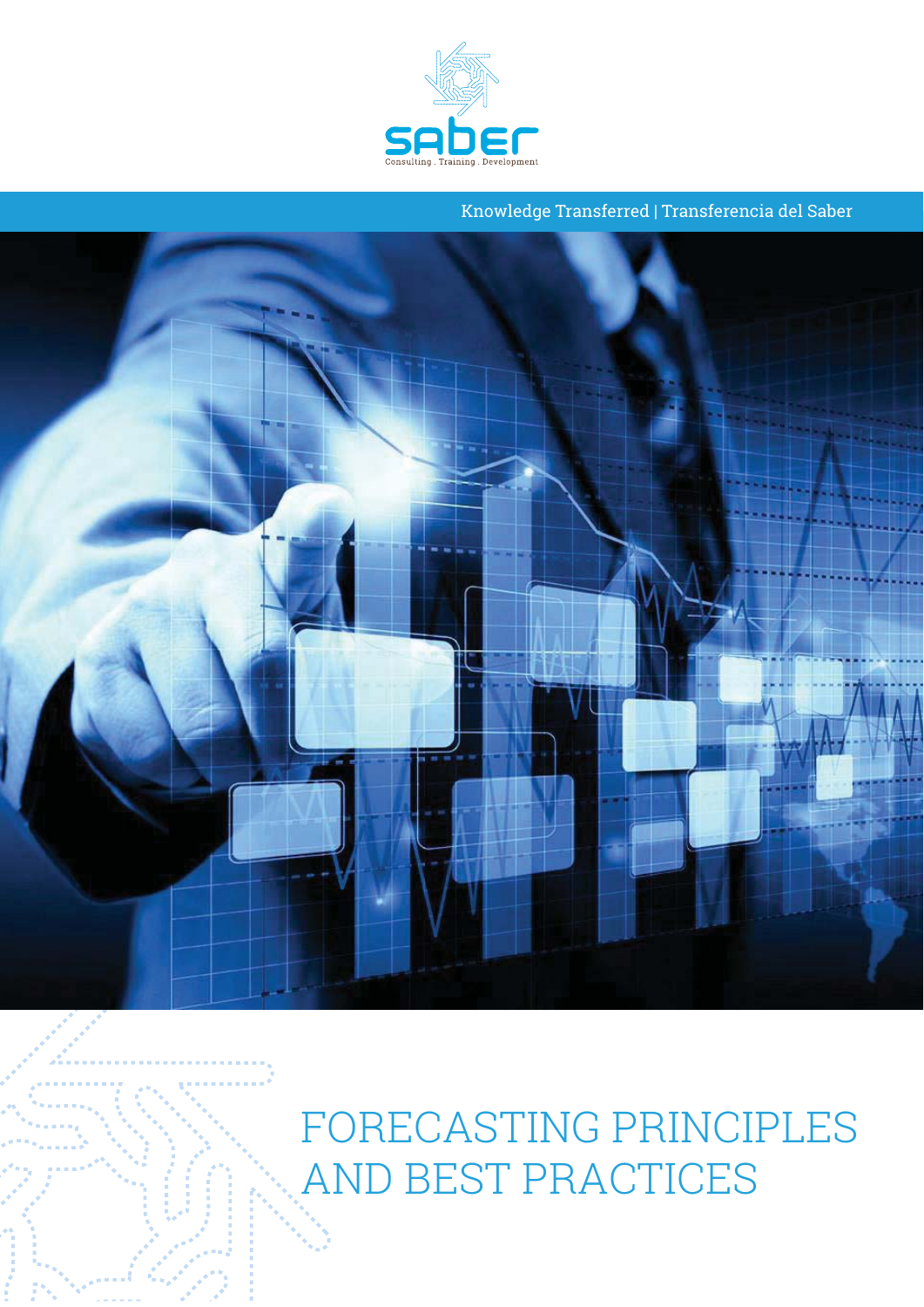

Knowledge Transferred | Transferencia del Saber



AND REST PRACTICES AND BEST PRACTICES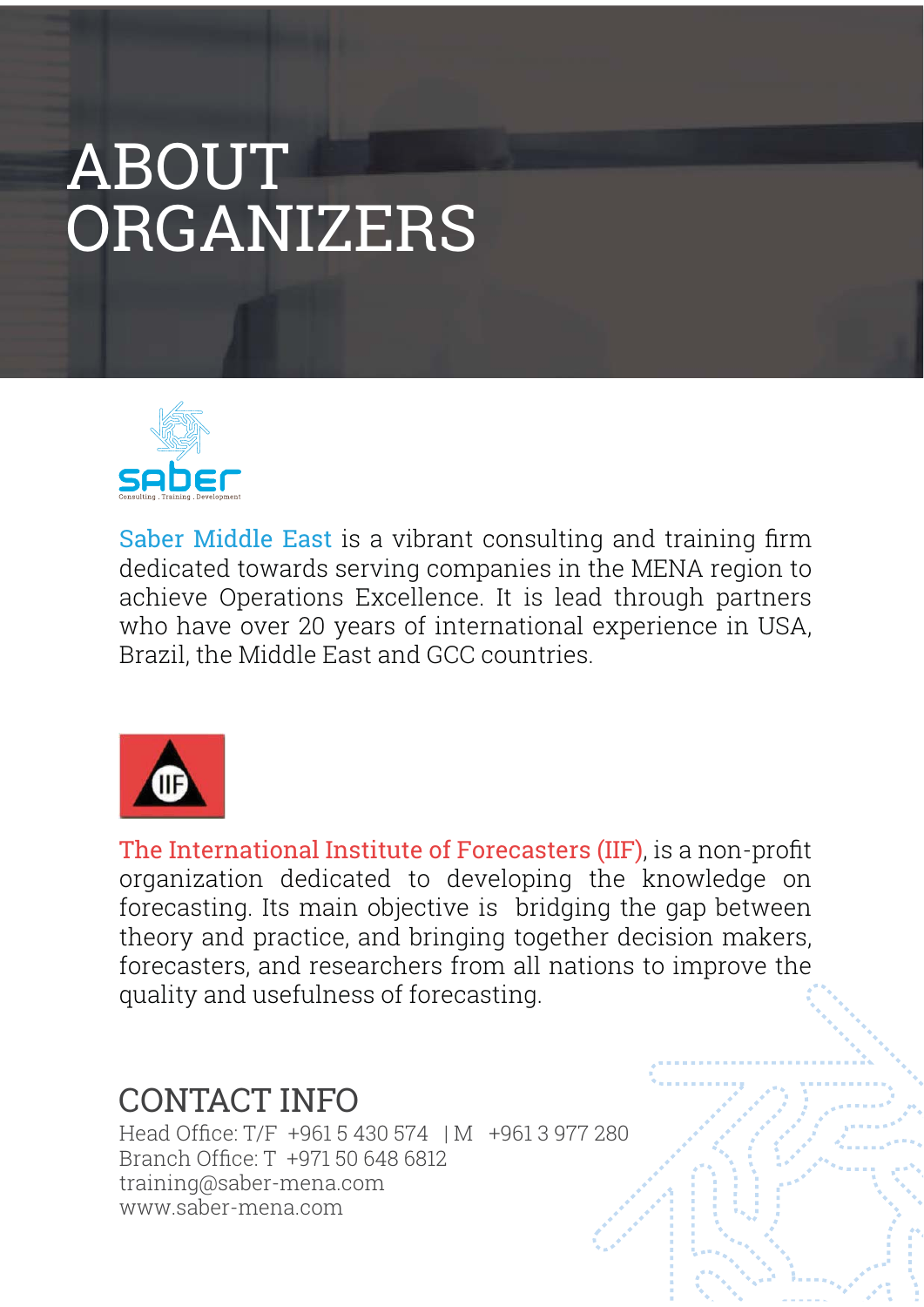# **ABOUT** ORGANIZERS



Saber Middle East is a vibrant consulting and training firm dedicated towards serving companies in the MENA region to achieve Operations Excellence. It is lead through partners who have over 20 years of international experience in USA, Brazil, the Middle East and GCC countries.



The International Institute of Forecasters (IIF), is a non-profit organization dedicated to developing the knowledge on forecasting. Its main objective is bridging the gap between theory and practice, and bringing together decision makers, forecasters, and researchers from all nations to improve the quality and usefulness of forecasting.

# **CONTACT INFO**

Head Office: T/F +961 5 430 574 | M +961 3 977 280 Branch Office: T +971 50 648 6812 training@saber-mena.com www.saber-mena.com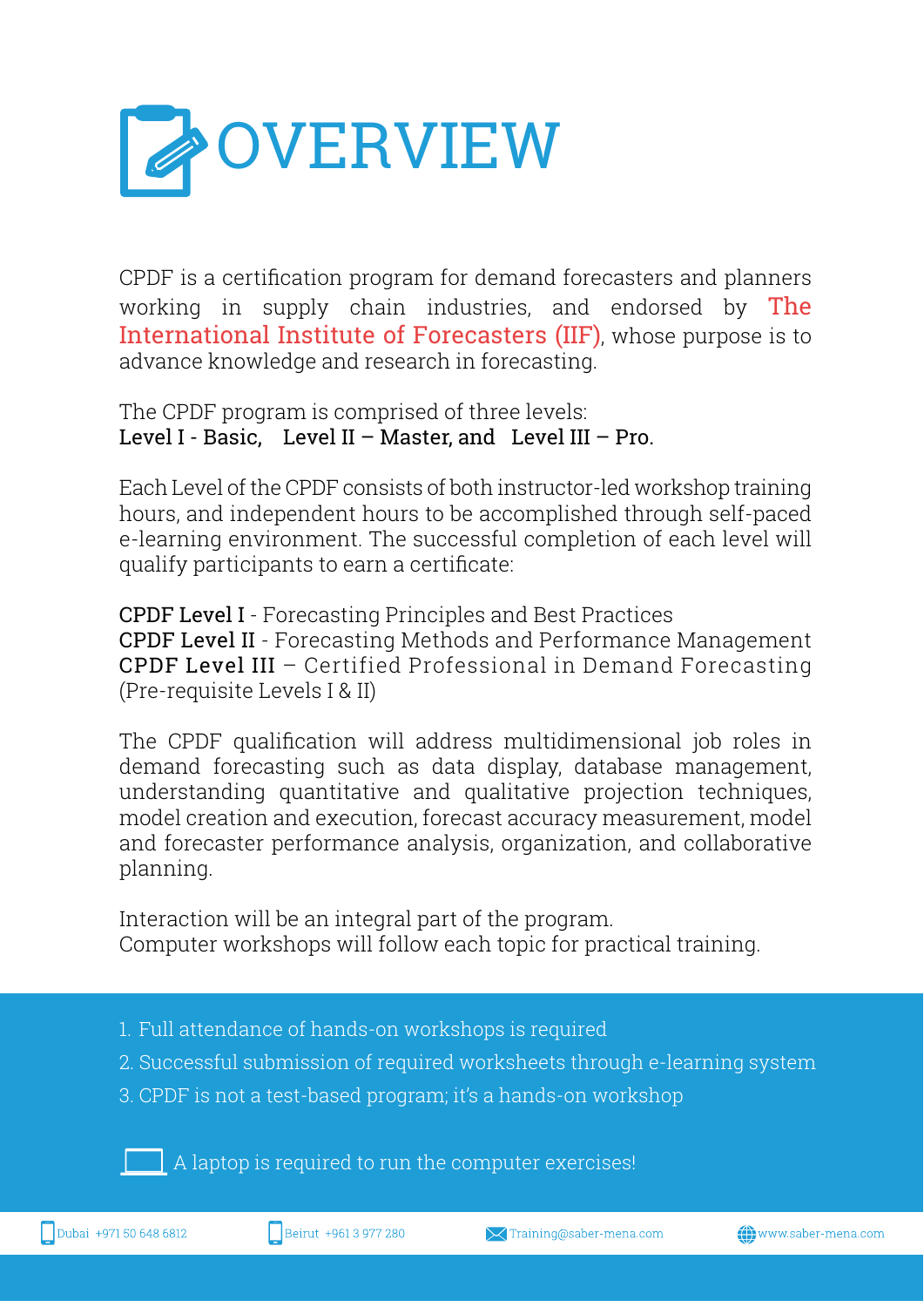

CPDF is a certification program for demand forecasters and planners working in supply chain industries, and endorsed by The International Institute of Forecasters (IIF), whose purpose is to advance knowledge and research in forecasting.

The CPDF program is comprised of three levels: Level I - Basic. Level II - Master, and Level III - Pro.

Each Level of the CPDF consists of both instructor-led workshop training hours, and independent hours to be accomplished through self-paced e-learning environment. The successful completion of each level will qualify participants to earn a certificate:

**CPDF Level I** - Forecasting Principles and Best Practices **CPDF Level II** - Forecasting Methods and Performance Management CPDF Level III - Certified Professional in Demand Forecasting (Pre-requisite Levels I & II)

The CPDF qualification will address multidimensional job roles in demand forecasting such as data display, database management, understanding quantitative and qualitative projection techniques, model creation and execution, forecast accuracy measurement, model and forecaster performance analysis, organization, and collaborative planning.

Interaction will be an integral part of the program. Computer workshops will follow each topic for practical training.

- 1. Full attendance of hands-on workshops is required
- 2. Successful submission of required worksheets through e-learning system
- 3. CPDF is not a test-based program; it's a hands-on workshop

 $\Box$  A laptop is required to run the computer exercises!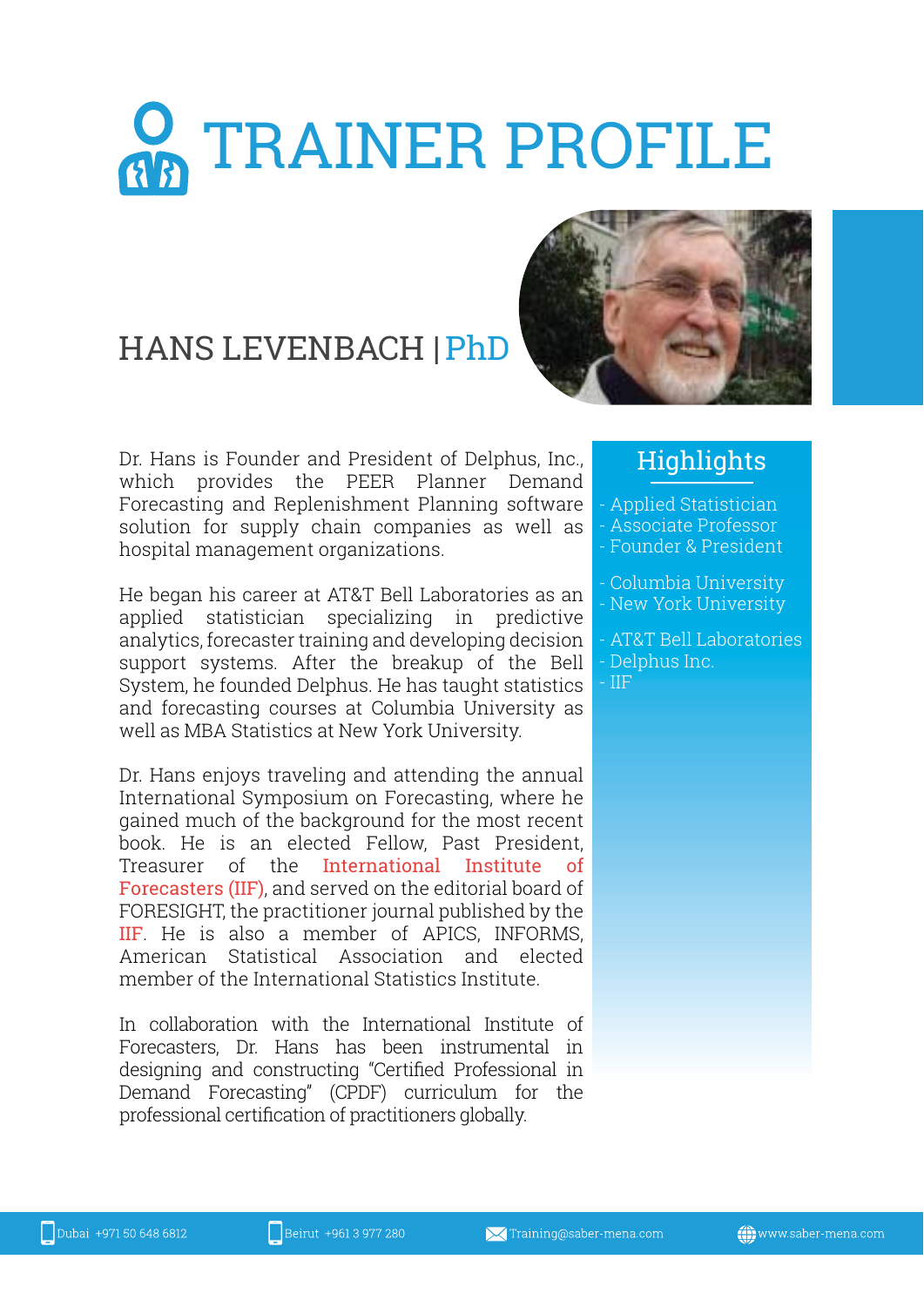# **O TRAINER PROFILE**

# **HANS LEVENBACH | PhD**

Dr. Hans is Founder and President of Delphus, Inc., which provides the PEER Planner Demand Forecasting and Replenishment Planning software solution for supply chain companies as well as hospital management organizations.

He began his career at AT&T Bell Laboratories as an applied statistician specializing in predictive analytics, forecaster training and developing decision support systems. After the breakup of the Bell System, he founded Delphus. He has taught statistics and forecasting courses at Columbia University as well as MBA Statistics at New York University.

Dr. Hans enjoys traveling and attending the annual International Symposium on Forecasting, where he gained much of the background for the most recent book. He is an elected Fellow. Past President. Treasurer of the International Institute Forecasters (IIF), and served on the editorial board of FORESIGHT, the practitioner journal published by the IIF. He is also a member of APICS, INFORMS, American Statistical Association and elected member of the International Statistics Institute

In collaboration with the International Institute of Forecasters. Dr. Hans has been instrumental in designing and constructing "Certified Professional in Demand Forecasting" (CPDF) curriculum for the professional certification of practitioners globally.



### Highlights

- Applied Statistician - Associate Professor - Founder & President
- Columbia University - New York University
- 
- AT&T Bell Laboratories
- Delphus Inc.  $-$  IIF.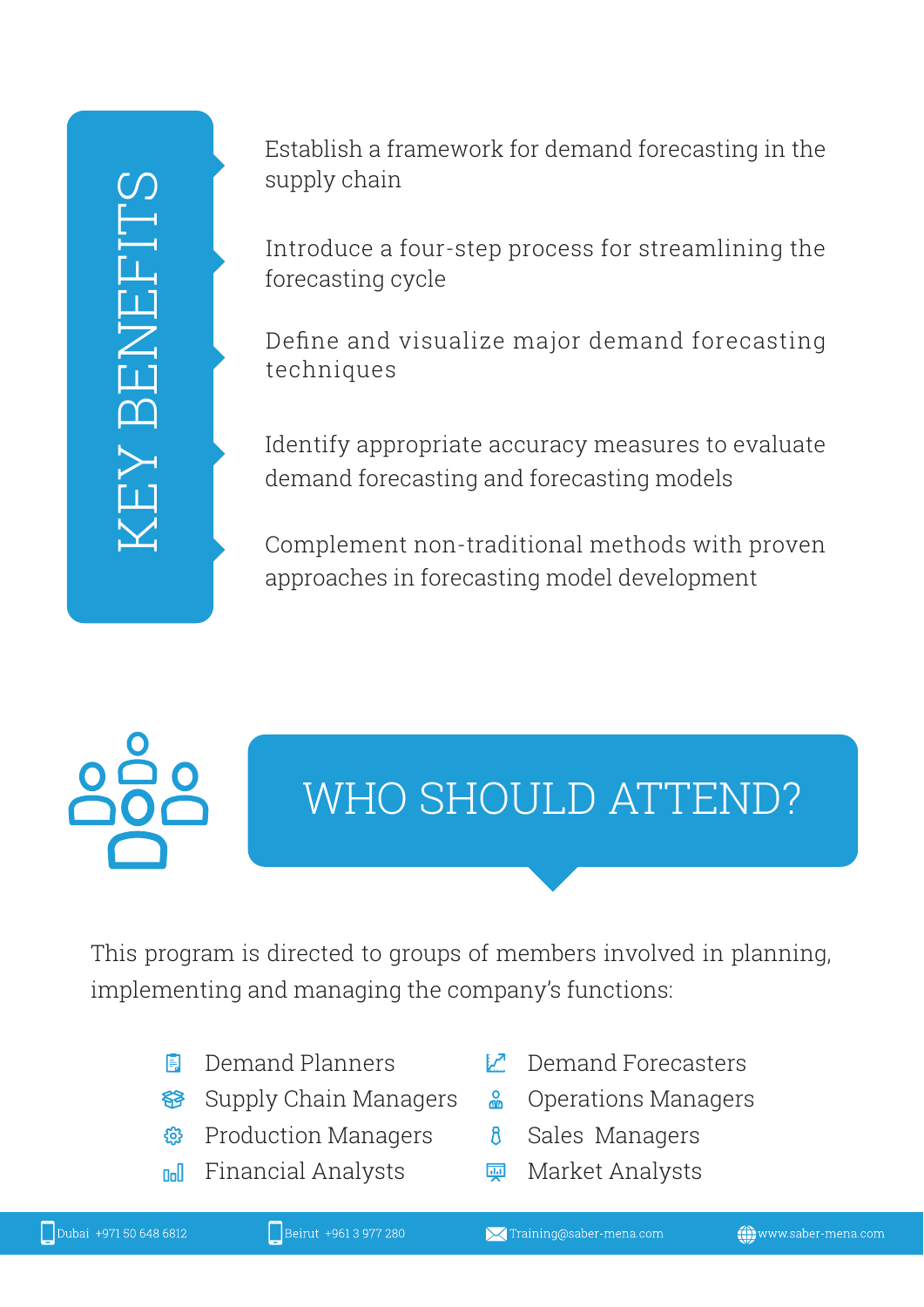Establish a framework for demand forecasting in the supply chain

Introduce a four-step process for streamlining the forecasting cycle

Define and visualize major demand forecasting techniques

Identify appropriate accuracy measures to evaluate demand forecasting and forecasting models

Complement non-traditional methods with proven approaches in forecasting model development

# WHO SHOULD ATTEND?

This program is directed to groups of members involved in planning, implementing and managing the company's functions:

- **同** Demand Planners
- **S** Supply Chain Managers
- ® Production Managers
- **Doll** Financial Analysts
- $\mathcal{V}$  Demand Forecasters
- & Operations Managers
- Sales Managers  $\mathcal{B}$
- Market Analysts <u>जून</u>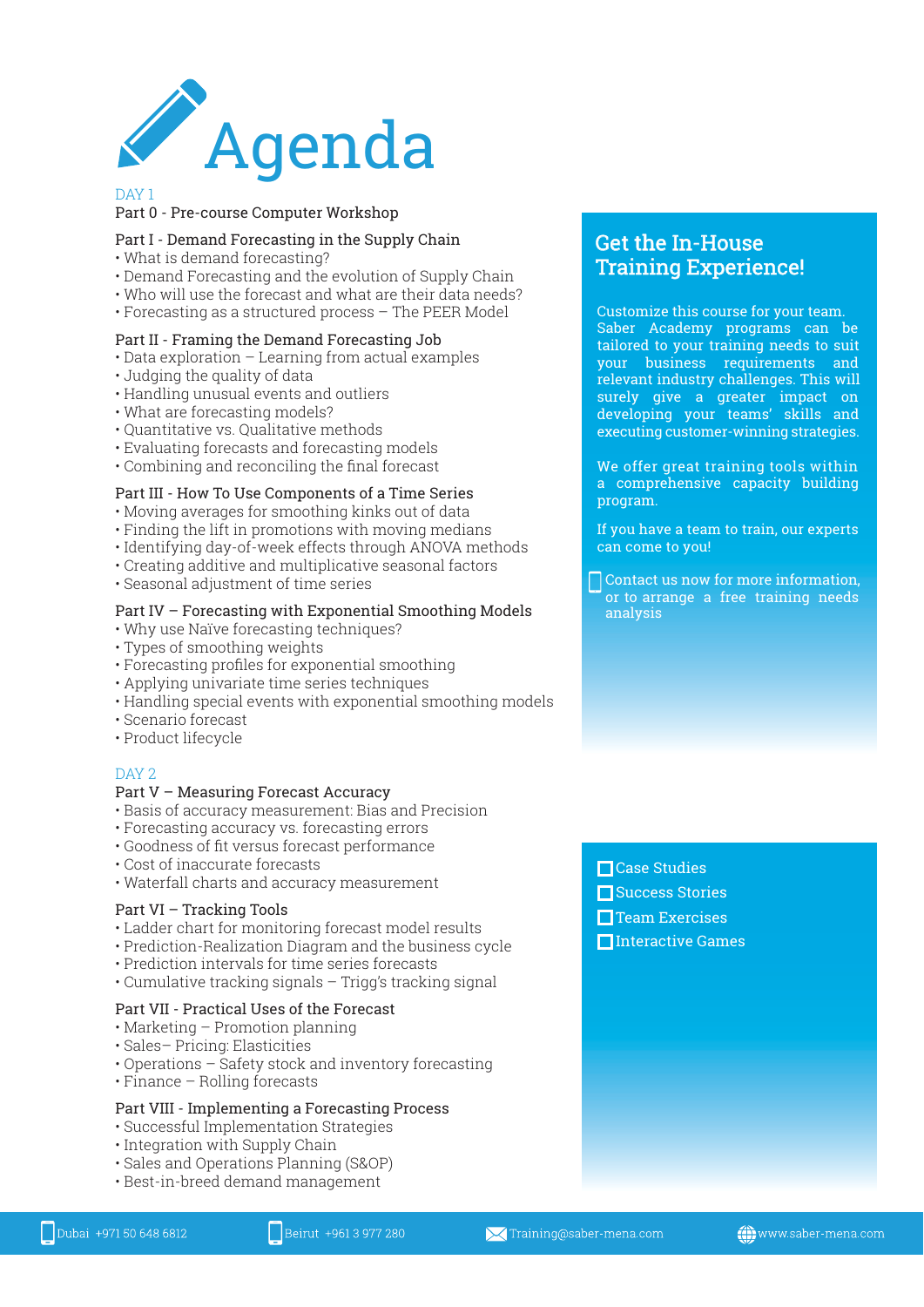

#### Part 0 - Pre-course Computer Workshop

#### Part I - Demand Forecasting in the Supply Chain

- 
- Demand Forecasting and the
- $\cdot$  Who will use the forecast and what are their data needs
- Forecasting as a structured process The PFFR Model  $\mathbf{y}$  and  $\mathbf{y}$  and  $\mathbf{y}$  and  $\mathbf{y}$

#### Part II - Framing the Demand Forecasting Job

- !- -
- . Iudaing the quality of data
- .<br>Handling unusual events a
- .<br>What are forecasting models?
- Quantitative vs. Qualitative m
- Evaluating forecasts and forecasting
- Combining and reconciling the final forecast <u>b-contracting</u> that is contracting the model of contract  $\frac{1}{2}$

#### Part III - How To Use Components of a Time Series

- 
- . Finding the lift in promotions with moving media
- Identifying day-of-week effects through ANOVA met
- . Creating additive and multiplicative seasonal factors
- Sessonal adjustment of time series b-# -+ -!- -

#### Part IV – Forecasting with Exponential Smoothing Models

- . Why use Naïve forecasting techniques?
- . Types of smoothing weights
- of the contraction of the state of the state of the state of the state of the state of the state of the state o
- . Annlying univariate time ceries techniques
- Handling special events with exponential s  $\mathbf{r}$  -  $\mathbf{r}$  -  $\mathbf{r}$  -  $\mathbf{r}$  -  $\mathbf{r}$  -  $\mathbf{r}$  -  $\mathbf{r}$  -  $\mathbf{r}$  -  $\mathbf{r}$
- · Scenario forecast
- .<br>Product lifecycle b-Harry Company and the second state of the second state of the second state of the second state of the second state of the second state of the second state of the second state of the second state of the second state of th

#### J[-? Part V – Measuring Forecast Accuracy

- 
- Forecasting accuracy vs. forecasting errors
- Goodness of fit versus forecast performanc<br>• Goodness of fit versus forecast performanc in the contract of the contract of the contract of the contract of the contract of the contract of the contract of the contract of the contract of the contract of the contract of the contract of the contract of the contrac
- Cost of inaccurate forecasts
- · Waterfall charts and accuracy measurement -

#### Part VI – Tracking Tools

- 
- Prediction-Realization Diagram and the husiness c  $\sim$
- Prediction intervals for time series forecasts
- · Cumulative tracking signals Trigg's trackin b-( - \* - -M-1X- \* -

#### Part VII - Practical Uses of the Forecast

- 
- Sales– Pricing: Flasticities
- .<br>Marations Safety stock <u>.</u>
- Finance Bolling forecasts  $\overline{\phantom{a}}$

#### Part VIII - Implementing a Forecasting Process

- $\sim$   $\sim$
- . Integration with Sunnly Chain
- Sales and Operations Planning
- · Best-in-breed demand management  $\mathcal{L}$  . The set of  $\mathcal{L}$

#### Get the In-House Training Experience!

Customize this course for your team. Saber Academy programs can be tailored to your training needs to suit your business requirements and relevant industry challenges. This will surely give a greater impact on developing your teams' skills and executing customer-winning strategies.

We offer great training tools within a comprehensive capacity building program.

If you have a team to train, our experts can come to you!

Contact us now for more information, or to arrange a free training needs analysis

□ Case Studies

**□**Interactive Games

 $\Box$  Team Exercises **□**Success Stories